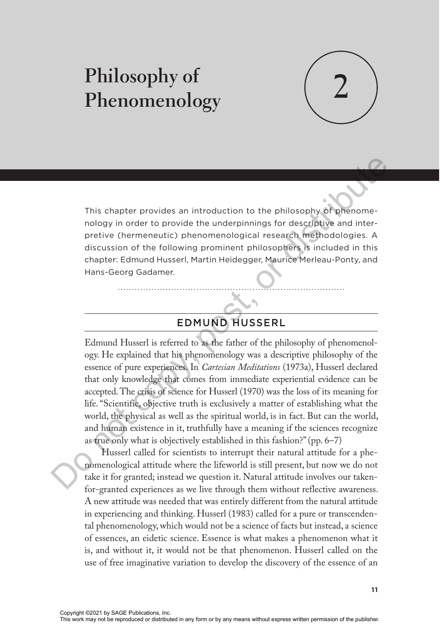# **2 Philosophy of Phenomenology**



This chapter provides an introduction to the philosophy of phenomenology in order to provide the underpinnings for descriptive and interpretive (hermeneutic) phenomenological research methodologies. A discussion of the following prominent philosophers is included in this chapter: Edmund Husserl, Martin Heidegger, Maurice Merleau-Ponty, and Hans-Georg Gadamer.

## EDMUND HUSSERL

Edmund Husserl is referred to as the father of the philosophy of phenomenology. He explained that his phenomenology was a descriptive philosophy of the essence of pure experiences. In *Cartesian Meditations* (1973a), Husserl declared that only knowledge that comes from immediate experiential evidence can be accepted. The crisis of science for Husserl (1970) was the loss of its meaning for life. "Scientific, objective truth is exclusively a matter of establishing what the world, the physical as well as the spiritual world, is in fact. But can the world, and human existence in it, truthfully have a meaning if the sciences recognize as true only what is objectively established in this fashion?" (pp. 6–7) This chapter provides an introduction to the philosophy of phenomenology in order to provide the underprinings for describive and inter-<br>pretive (hermeneutic) phenomenological research methodologies. A discussion of the f

Husserl called for scientists to interrupt their natural attitude for a phenomenological attitude where the lifeworld is still present, but now we do not take it for granted; instead we question it. Natural attitude involves our takenfor-granted experiences as we live through them without reflective awareness. A new attitude was needed that was entirely different from the natural attitude in experiencing and thinking. Husserl (1983) called for a pure or transcendental phenomenology, which would not be a science of facts but instead, a science of essences, an eidetic science. Essence is what makes a phenomenon what it is, and without it, it would not be that phenomenon. Husserl called on the use of free imaginative variation to develop the discovery of the essence of an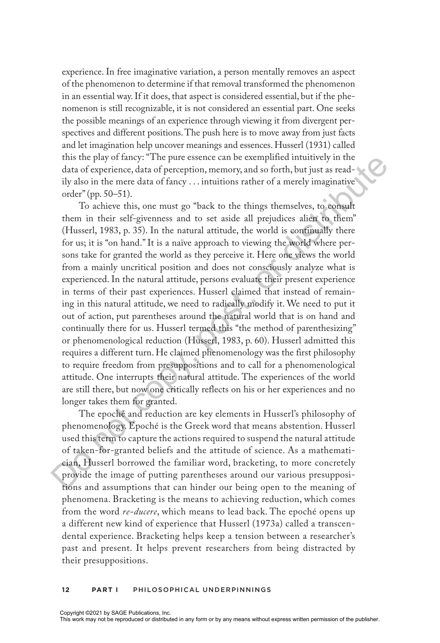experience. In free imaginative variation, a person mentally removes an aspect of the phenomenon to determine if that removal transformed the phenomenon in an essential way. If it does, that aspect is considered essential, but if the phenomenon is still recognizable, it is not considered an essential part. One seeks the possible meanings of an experience through viewing it from divergent perspectives and different positions. The push here is to move away from just facts and let imagination help uncover meanings and essences. Husserl (1931) called this the play of fancy: "The pure essence can be exemplified intuitively in the data of experience, data of perception, memory, and so forth, but just as readily also in the mere data of fancy . . . intuitions rather of a merely imaginative order" (pp. 50–51).

To achieve this, one must go "back to the things themselves, to consult them in their self-givenness and to set aside all prejudices alien to them" (Husserl, 1983, p. 35). In the natural attitude, the world is continually there for us; it is "on hand." It is a naïve approach to viewing the world where persons take for granted the world as they perceive it. Here one views the world from a mainly uncritical position and does not consciously analyze what is experienced. In the natural attitude, persons evaluate their present experience in terms of their past experiences. Husserl claimed that instead of remaining in this natural attitude, we need to radically modify it. We need to put it out of action, put parentheses around the natural world that is on hand and continually there for us. Husserl termed this "the method of parenthesizing" or phenomenological reduction (Husserl, 1983, p. 60). Husserl admitted this requires a different turn. He claimed phenomenology was the first philosophy to require freedom from presuppositions and to call for a phenomenological attitude. One interrupts their natural attitude. The experiences of the world are still there, but now one critically reflects on his or her experiences and no longer takes them for granted. this the pair of rancy of map. The pure cessence can be exemption in<br>tututivity in the pair of the pair of the pair of the main of the main<br>diato f experience, data of perception, memory, and so forth, but just as read-<br>i

The epoché and reduction are key elements in Husserl's philosophy of phenomenology. Epoché is the Greek word that means abstention. Husserl used this term to capture the actions required to suspend the natural attitude of taken-for-granted beliefs and the attitude of science. As a mathematician, Husserl borrowed the familiar word, bracketing, to more concretely provide the image of putting parentheses around our various presuppositions and assumptions that can hinder our being open to the meaning of phenomena. Bracketing is the means to achieving reduction, which comes from the word *re-ducere*, which means to lead back. The epoché opens up a different new kind of experience that Husserl (1973a) called a transcendental experience. Bracketing helps keep a tension between a researcher's past and present. It helps prevent researchers from being distracted by their presuppositions.

#### **12 Part I** PHILOSOPHICAL UNDERPINNINGS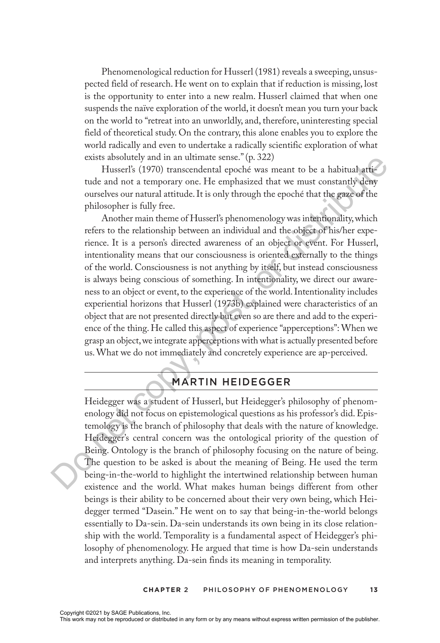Phenomenological reduction for Husserl (1981) reveals a sweeping, unsuspected field of research. He went on to explain that if reduction is missing, lost is the opportunity to enter into a new realm. Husserl claimed that when one suspends the naïve exploration of the world, it doesn't mean you turn your back on the world to "retreat into an unworldly, and, therefore, uninteresting special field of theoretical study. On the contrary, this alone enables you to explore the world radically and even to undertake a radically scientific exploration of what exists absolutely and in an ultimate sense." (p. 322)

Husserl's (1970) transcendental epoché was meant to be a habitual attitude and not a temporary one. He emphasized that we must constantly deny ourselves our natural attitude. It is only through the epoché that the gaze of the philosopher is fully free.

Another main theme of Husserl's phenomenology was intentionality, which refers to the relationship between an individual and the object of his/her experience. It is a person's directed awareness of an object or event. For Husserl, intentionality means that our consciousness is oriented externally to the things of the world. Consciousness is not anything by itself, but instead consciousness is always being conscious of something. In intentionality, we direct our awareness to an object or event, to the experience of the world. Intentionality includes experiential horizons that Husserl (1973b) explained were characteristics of an object that are not presented directly but even so are there and add to the experience of the thing. He called this aspect of experience "apperceptions": When we grasp an object, we integrate apperceptions with what is actually presented before us. What we do not immediately and concretely experience are ap-perceived. costs absolutely and in an ultimate sense. (b. 242)<br>
Hasself's (1970) transcendental epoché was meant to be a habitual-atti-<br>
tude and not a temporary one. He emphasized that we must constantly demonstries our natural att

## MARTIN HEIDEGGER

Heidegger was a student of Husserl, but Heidegger's philosophy of phenomenology did not focus on epistemological questions as his professor's did. Epistemology is the branch of philosophy that deals with the nature of knowledge. Heidegger's central concern was the ontological priority of the question of Being. Ontology is the branch of philosophy focusing on the nature of being. The question to be asked is about the meaning of Being. He used the term being-in-the-world to highlight the intertwined relationship between human existence and the world. What makes human beings different from other beings is their ability to be concerned about their very own being, which Heidegger termed "Dasein." He went on to say that being-in-the-world belongs essentially to Da-sein. Da-sein understands its own being in its close relationship with the world. Temporality is a fundamental aspect of Heidegger's philosophy of phenomenology. He argued that time is how Da-sein understands and interprets anything. Da-sein finds its meaning in temporality.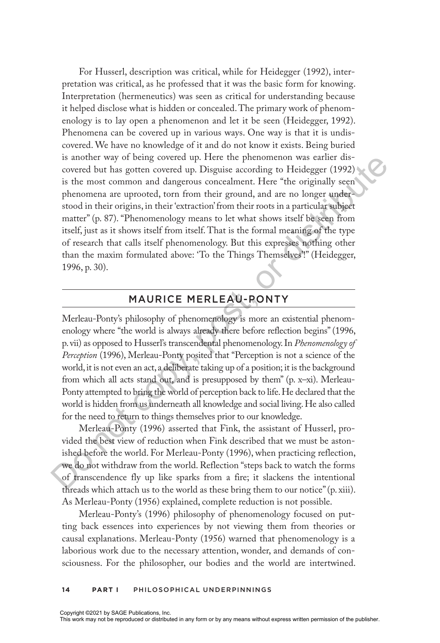For Husserl, description was critical, while for Heidegger (1992), interpretation was critical, as he professed that it was the basic form for knowing. Interpretation (hermeneutics) was seen as critical for understanding because it helped disclose what is hidden or concealed. The primary work of phenomenology is to lay open a phenomenon and let it be seen (Heidegger, 1992). Phenomena can be covered up in various ways. One way is that it is undiscovered. We have no knowledge of it and do not know it exists. Being buried is another way of being covered up. Here the phenomenon was earlier discovered but has gotten covered up. Disguise according to Heidegger (1992) is the most common and dangerous concealment. Here "the originally seen phenomena are uprooted, torn from their ground, and are no longer understood in their origins, in their 'extraction' from their roots in a particular subject matter" (p. 87). "Phenomenology means to let what shows itself be seen from itself, just as it shows itself from itself. That is the formal meaning of the type of research that calls itself phenomenology. But this expresses nothing other than the maxim formulated above: 'To the Things Themselves'!" (Heidegger, 1996, p. 30). is another way of being covered up. Disguise according to Heidegarer distribute is the most covered but has gotten covered up. Disguise according to Heidegarer (1959) is the most common and dangerous concelament. Here "th

## MAURICE MERLEAU-PONTY

Merleau-Ponty's philosophy of phenomenology is more an existential phenomenology where "the world is always already there before reflection begins" (1996, p. vii) as opposed to Husserl's transcendental phenomenology. In *Phenomenology of Perception* (1996), Merleau-Ponty posited that "Perception is not a science of the world, it is not even an act, a deliberate taking up of a position; it is the background from which all acts stand out, and is presupposed by them" (p. x-xi). Merleau-Ponty attempted to bring the world of perception back to life. He declared that the world is hidden from us underneath all knowledge and social living. He also called for the need to return to things themselves prior to our knowledge.

Merleau-Ponty (1996) asserted that Fink, the assistant of Husserl, provided the best view of reduction when Fink described that we must be astonished before the world. For Merleau-Ponty (1996), when practicing reflection, we do not withdraw from the world. Reflection "steps back to watch the forms of transcendence fly up like sparks from a fire; it slackens the intentional threads which attach us to the world as these bring them to our notice" (p. xiii). As Merleau-Ponty (1956) explained, complete reduction is not possible.

Merleau-Ponty's (1996) philosophy of phenomenology focused on putting back essences into experiences by not viewing them from theories or causal explanations. Merleau-Ponty (1956) warned that phenomenology is a laborious work due to the necessary attention, wonder, and demands of consciousness. For the philosopher, our bodies and the world are intertwined.

#### **14 Part I** PHILOSOPHICAL UNDERPINNINGS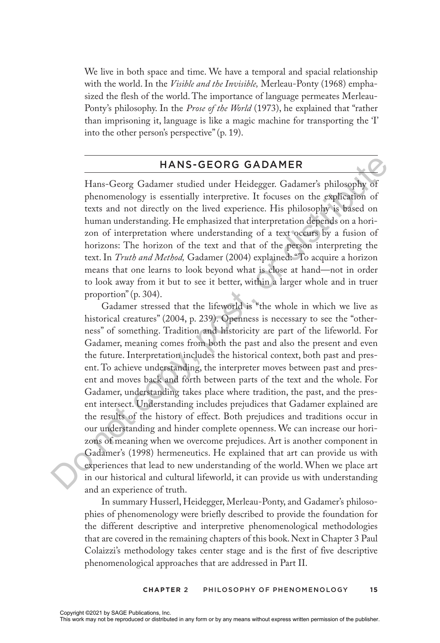We live in both space and time. We have a temporal and spacial relationship with the world. In the *Visible and the Invisible,* Merleau-Ponty (1968) emphasized the flesh of the world. The importance of language permeates Merleau-Ponty's philosophy. In the *Prose of the World* (1973), he explained that "rather than imprisoning it, language is like a magic machine for transporting the 'I' into the other person's perspective" (p. 19).

### HANS-GEORG GADAMER

Hans-Georg Gadamer studied under Heidegger. Gadamer's philosophy of phenomenology is essentially interpretive. It focuses on the explication of texts and not directly on the lived experience. His philosophy is based on human understanding. He emphasized that interpretation depends on a horizon of interpretation where understanding of a text occurs by a fusion of horizons: The horizon of the text and that of the person interpreting the text. In *Truth and Method,* Gadamer (2004) explained: "To acquire a horizon means that one learns to look beyond what is close at hand—not in order to look away from it but to see it better, within a larger whole and in truer proportion" (p. 304).

Gadamer stressed that the lifeworld is "the whole in which we live as historical creatures" (2004, p. 239). Openness is necessary to see the "otherness" of something. Tradition and historicity are part of the lifeworld. For Gadamer, meaning comes from both the past and also the present and even the future. Interpretation includes the historical context, both past and present. To achieve understanding, the interpreter moves between past and present and moves back and forth between parts of the text and the whole. For Gadamer, understanding takes place where tradition, the past, and the present intersect. Understanding includes prejudices that Gadamer explained are the results of the history of effect. Both prejudices and traditions occur in our understanding and hinder complete openness. We can increase our horizons of meaning when we overcome prejudices. Art is another component in Gadamer's (1998) hermeneutics. He explained that art can provide us with experiences that lead to new understanding of the world. When we place art in our historical and cultural lifeworld, it can provide us with understanding and an experience of truth. HANS-GEORG GADAMER<br>
Hans-Georg Gadamer studied under Heidegger. Gadamer's philosophy of<br>
phenomenology is essentially interpretive. It focuses on the explication of<br>
texts and not directly on the lived experience. His phi

In summary Husserl, Heidegger, Merleau-Ponty, and Gadamer's philosophies of phenomenology were briefly described to provide the foundation for the different descriptive and interpretive phenomenological methodologies that are covered in the remaining chapters of this book. Next in Chapter 3 Paul Colaizzi's methodology takes center stage and is the first of five descriptive phenomenological approaches that are addressed in Part II.